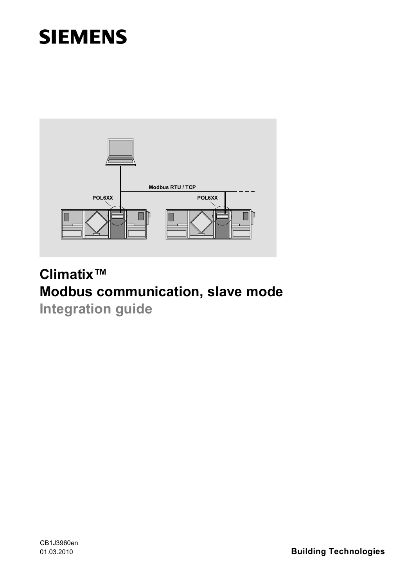# **SIEMENS**



**Climatix™ Modbus communication, slave mode Integration guide**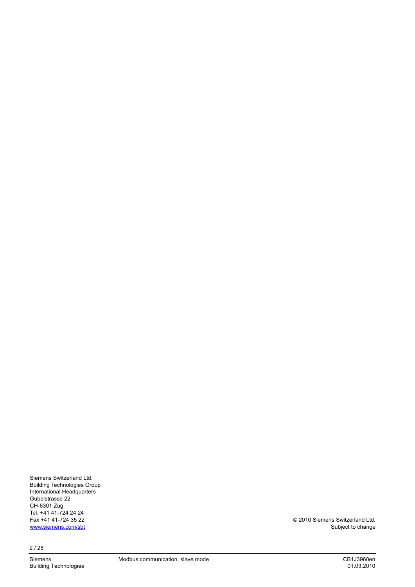Siemens Switzerland Ltd. Building Technologies Group International Headquarters Gubelstrasse 22 CH-6301 Zug Tel. +41 41-724 24 24 Fax +41 41-724 35 22 www.siemens.com/sbt

2 / 28

© 2010 Siemens Switzerland Ltd. Subject to change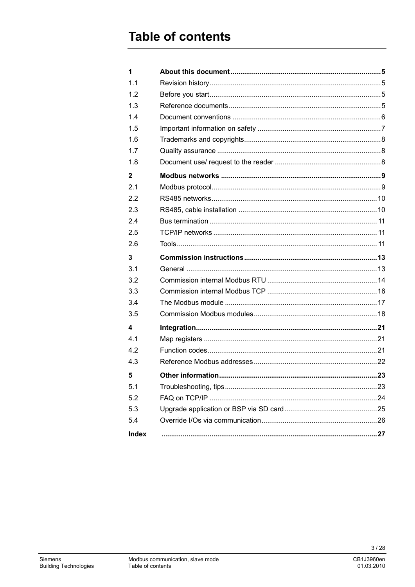# **Table of contents**

| 1            |  |
|--------------|--|
| 1.1          |  |
| 1.2          |  |
| 1.3          |  |
| 1.4          |  |
| 1.5          |  |
| 1.6          |  |
| 17           |  |
| 1.8          |  |
| $\mathbf{2}$ |  |
| 2.1          |  |
| 2.2          |  |
| 2.3          |  |
| 2.4          |  |
| 2.5          |  |
| 2.6          |  |
|              |  |
| 3            |  |
| 3.1          |  |
| 3.2          |  |
| 3.3          |  |
| 3.4          |  |
| 3.5          |  |
| 4            |  |
| 4.1          |  |
| 4.2          |  |
| 4.3          |  |
| 5            |  |
| 5.1          |  |
| 5.2          |  |
| 5.3          |  |
| 5.4          |  |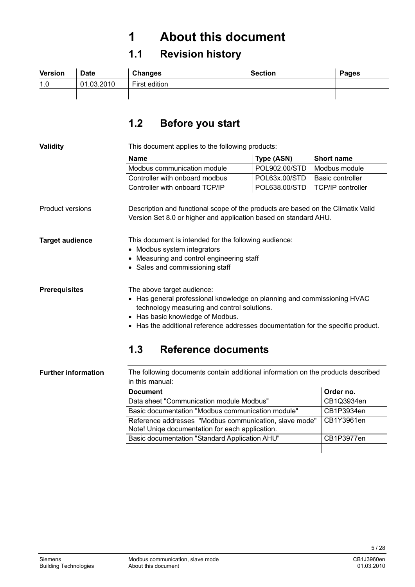# **1 About this document**

# **1.1 Revision history**

| <b>Version</b> | <b>Date</b> | <b>Changes</b> | <b>Section</b> | <b>Pages</b> |
|----------------|-------------|----------------|----------------|--------------|
| 1.0            | 01.03.2010  | First edition  |                |              |
|                |             |                |                |              |

# **1.2 Before you start**

| This document applies to the following products:<br><b>Validity</b> |                                                                                                                                                                                                                                                                              |               |                          |  |
|---------------------------------------------------------------------|------------------------------------------------------------------------------------------------------------------------------------------------------------------------------------------------------------------------------------------------------------------------------|---------------|--------------------------|--|
|                                                                     | <b>Name</b>                                                                                                                                                                                                                                                                  | Type (ASN)    | <b>Short name</b>        |  |
|                                                                     | Modbus communication module                                                                                                                                                                                                                                                  | POL902.00/STD | Modbus module            |  |
|                                                                     | Controller with onboard modbus                                                                                                                                                                                                                                               | POL63x.00/STD | <b>Basic controller</b>  |  |
|                                                                     | Controller with onboard TCP/IP                                                                                                                                                                                                                                               | POL638.00/STD | <b>TCP/IP controller</b> |  |
| Product versions                                                    | Description and functional scope of the products are based on the Climatix Valid<br>Version Set 8.0 or higher and application based on standard AHU.                                                                                                                         |               |                          |  |
| <b>Target audience</b>                                              | This document is intended for the following audience:<br>• Modbus system integrators<br>• Measuring and control engineering staff<br>• Sales and commissioning staff                                                                                                         |               |                          |  |
| <b>Prerequisites</b>                                                | The above target audience:<br>• Has general professional knowledge on planning and commissioning HVAC<br>technology measuring and control solutions.<br>• Has basic knowledge of Modbus.<br>• Has the additional reference addresses documentation for the specific product. |               |                          |  |
| 1.3<br><b>Reference documents</b>                                   |                                                                                                                                                                                                                                                                              |               |                          |  |
| <b>Further information</b>                                          | The following documents contain additional information on the products described<br>in this manual:                                                                                                                                                                          |               |                          |  |
|                                                                     | <b>Document</b>                                                                                                                                                                                                                                                              |               | Order no.                |  |
|                                                                     | Data sheet "Communication module Modbus"                                                                                                                                                                                                                                     |               | CB1Q3934en               |  |
|                                                                     | Basic documentation "Modbus communication module"                                                                                                                                                                                                                            |               | CB1P3934en               |  |
|                                                                     | Reference addresses "Modbus communication, slave mode"<br>CB1Y3961en<br>Note! Uniqe documentation for each application.                                                                                                                                                      |               |                          |  |
|                                                                     | Basic documentation "Standard Application AHU"                                                                                                                                                                                                                               |               | CB1P3977en               |  |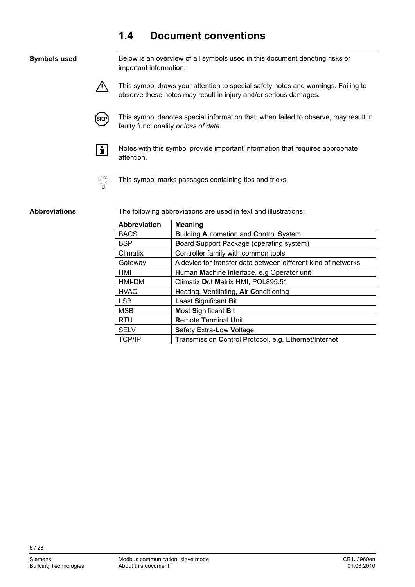# **1.4 Document conventions**

#### **Symbols used**

Below is an overview of all symbols used in this document denoting risks or important information:



This symbol draws your attention to special safety notes and warnings. Failing to observe these notes may result in injury and/or serious damages.



This symbol denotes special information that, when failed to observe, may result in faulty functionality *or loss of data*.



Notes with this symbol provide important information that requires appropriate attention.



This symbol marks passages containing tips and tricks.

#### **Abbreviations**

The following abbreviations are used in text and illustrations:

| <b>Abbreviation</b> | <b>Meaning</b>                                                |
|---------------------|---------------------------------------------------------------|
| <b>BACS</b>         | <b>Building Automation and Control System</b>                 |
| <b>BSP</b>          | <b>Board Support Package (operating system)</b>               |
| Climatix            | Controller family with common tools                           |
| Gateway             | A device for transfer data between different kind of networks |
| HMI                 | Human Machine Interface, e.g Operator unit                    |
| HMI-DM              | Climatix Dot Matrix HMI, POL895.51                            |
| <b>HVAC</b>         | Heating, Ventilating, Air Conditioning                        |
| LSB                 | Least Significant Bit                                         |
| <b>MSB</b>          | <b>Most Significant Bit</b>                                   |
| <b>RTU</b>          | <b>Remote Terminal Unit</b>                                   |
| <b>SELV</b>         | <b>Safety Extra-Low Voltage</b>                               |
| <b>TCP/IP</b>       | Transmission Control Protocol, e.g. Ethernet/Internet         |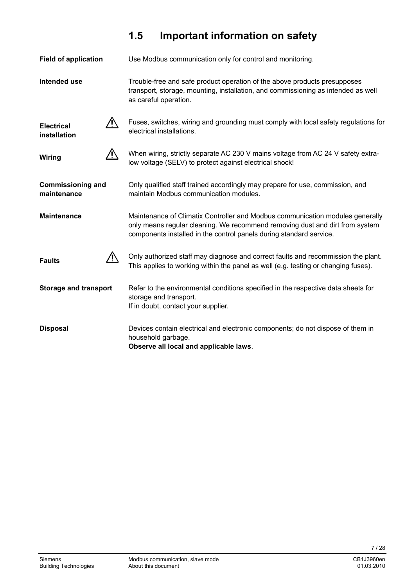# **1.5 Important information on safety**

| <b>Field of application</b>             | Use Modbus communication only for control and monitoring.                                                                                                                                                                            |
|-----------------------------------------|--------------------------------------------------------------------------------------------------------------------------------------------------------------------------------------------------------------------------------------|
| Intended use                            | Trouble-free and safe product operation of the above products presupposes<br>transport, storage, mounting, installation, and commissioning as intended as well<br>as careful operation.                                              |
| <b>Electrical</b><br>installation       | Fuses, switches, wiring and grounding must comply with local safety regulations for<br>electrical installations.                                                                                                                     |
| Wiring                                  | When wiring, strictly separate AC 230 V mains voltage from AC 24 V safety extra-<br>low voltage (SELV) to protect against electrical shock!                                                                                          |
| <b>Commissioning and</b><br>maintenance | Only qualified staff trained accordingly may prepare for use, commission, and<br>maintain Modbus communication modules.                                                                                                              |
| <b>Maintenance</b>                      | Maintenance of Climatix Controller and Modbus communication modules generally<br>only means regular cleaning. We recommend removing dust and dirt from system<br>components installed in the control panels during standard service. |
| <b>Faults</b>                           | Only authorized staff may diagnose and correct faults and recommission the plant.<br>This applies to working within the panel as well (e.g. testing or changing fuses).                                                              |
| <b>Storage and transport</b>            | Refer to the environmental conditions specified in the respective data sheets for<br>storage and transport.<br>If in doubt, contact your supplier.                                                                                   |
| <b>Disposal</b>                         | Devices contain electrical and electronic components; do not dispose of them in<br>household garbage.<br>Observe all local and applicable laws.                                                                                      |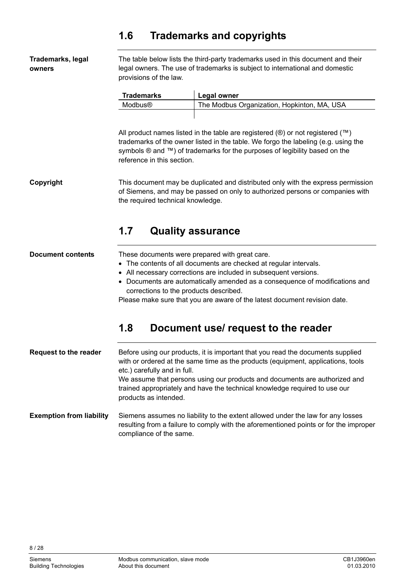# **1.6 Trademarks and copyrights**

The table below lists the third-party trademarks used in this document and their legal owners. The use of trademarks is subject to international and domestic provisions of the law. **Trademarks Legal owner** Modbus® The Modbus Organization, Hopkinton, MA, USA All product names listed in the table are registered  $(\mathbb{R})$  or not registered (™) trademarks of the owner listed in the table. We forgo the labeling (e.g. using the symbols <sup>®</sup> and ™) of trademarks for the purposes of legibility based on the reference in this section. This document may be duplicated and distributed only with the express permission of Siemens, and may be passed on only to authorized persons or companies with the required technical knowledge. **1.7 Quality assurance**  These documents were prepared with great care. The contents of all documents are checked at regular intervals. All necessary corrections are included in subsequent versions. Documents are automatically amended as a consequence of modifications and corrections to the products described. Please make sure that you are aware of the latest document revision date. **1.8 Document use/ request to the reader**  Before using our products, it is important that you read the documents supplied with or ordered at the same time as the products (equipment, applications, tools etc.) carefully and in full. We assume that persons using our products and documents are authorized and trained appropriately and have the technical knowledge required to use our products as intended. Siemens assumes no liability to the extent allowed under the law for any losses resulting from a failure to comply with the aforementioned points or for the improper compliance of the same. **Trademarks, legal owners Copyright Document contents Request to the reader Exemption from liability**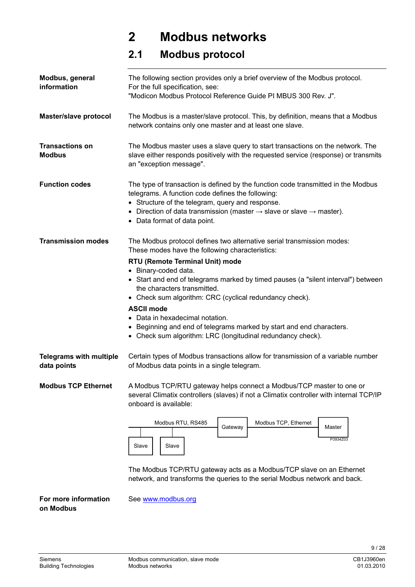# **2 Modbus networks**

# **2.1 Modbus protocol**

| Modbus, general<br>information                | The following section provides only a brief overview of the Modbus protocol.<br>For the full specification, see:<br>"Modicon Modbus Protocol Reference Guide PI MBUS 300 Rev. J".                                                                                                                                                                                                                                                                                                                                                                                  |  |  |
|-----------------------------------------------|--------------------------------------------------------------------------------------------------------------------------------------------------------------------------------------------------------------------------------------------------------------------------------------------------------------------------------------------------------------------------------------------------------------------------------------------------------------------------------------------------------------------------------------------------------------------|--|--|
| Master/slave protocol                         | The Modbus is a master/slave protocol. This, by definition, means that a Modbus<br>network contains only one master and at least one slave.                                                                                                                                                                                                                                                                                                                                                                                                                        |  |  |
| <b>Transactions on</b><br><b>Modbus</b>       | The Modbus master uses a slave query to start transactions on the network. The<br>slave either responds positively with the requested service (response) or transmits<br>an "exception message".                                                                                                                                                                                                                                                                                                                                                                   |  |  |
| <b>Function codes</b>                         | The type of transaction is defined by the function code transmitted in the Modbus<br>telegrams. A function code defines the following:<br>• Structure of the telegram, query and response.<br>• Direction of data transmission (master $\rightarrow$ slave or slave $\rightarrow$ master).<br>• Data format of data point.                                                                                                                                                                                                                                         |  |  |
| <b>Transmission modes</b>                     | The Modbus protocol defines two alternative serial transmission modes:<br>These modes have the following characteristics:<br>RTU (Remote Terminal Unit) mode<br>• Binary-coded data.<br>• Start and end of telegrams marked by timed pauses (a "silent interval") between<br>the characters transmitted.<br>• Check sum algorithm: CRC (cyclical redundancy check).<br><b>ASCII mode</b><br>• Data in hexadecimal notation.<br>• Beginning and end of telegrams marked by start and end characters.<br>• Check sum algorithm: LRC (longitudinal redundancy check). |  |  |
| <b>Telegrams with multiple</b><br>data points | Certain types of Modbus transactions allow for transmission of a variable number<br>of Modbus data points in a single telegram.                                                                                                                                                                                                                                                                                                                                                                                                                                    |  |  |
| <b>Modbus TCP Ethernet</b>                    | A Modbus TCP/RTU gateway helps connect a Modbus/TCP master to one or<br>several Climatix controllers (slaves) if not a Climatix controller with internal TCP/IP<br>onboard is available:                                                                                                                                                                                                                                                                                                                                                                           |  |  |
|                                               | Modbus RTU, RS485<br>Modbus TCP, Ethernet<br>Gateway<br>Master<br>P3934Z03<br>Slave<br>Slave<br>The Modbus TCP/RTU gateway acts as a Modbus/TCP slave on an Ethernet                                                                                                                                                                                                                                                                                                                                                                                               |  |  |
|                                               | network, and transforms the queries to the serial Modbus network and back.                                                                                                                                                                                                                                                                                                                                                                                                                                                                                         |  |  |

**For more information on Modbus** 

See www.modbus.org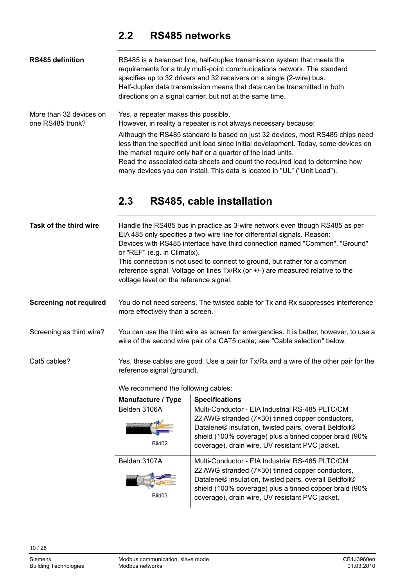# **2.2 RS485 networks**

| <b>RS485 definition</b>                     | RS485 is a balanced line, half-duplex transmission system that meets the<br>requirements for a truly multi-point communications network. The standard<br>specifies up to 32 drivers and 32 receivers on a single (2-wire) bus.<br>Half-duplex data transmission means that data can be transmitted in both<br>directions on a signal carrier, but not at the same time.                                                                                                                                       |
|---------------------------------------------|---------------------------------------------------------------------------------------------------------------------------------------------------------------------------------------------------------------------------------------------------------------------------------------------------------------------------------------------------------------------------------------------------------------------------------------------------------------------------------------------------------------|
| More than 32 devices on<br>one RS485 trunk? | Yes, a repeater makes this possible.<br>However, in reality a repeater is not always necessary because:<br>Although the RS485 standard is based on just 32 devices, most RS485 chips need<br>less than the specified unit load since initial development. Today, some devices on<br>the market require only half or a quarter of the load units.<br>Read the associated data sheets and count the required load to determine how<br>many devices you can install. This data is located in "UL" ("Unit Load"). |

# **2.3 RS485, cable installation**

| Task of the third wire        | or "REF" (e.g. in Climatix).<br>voltage level on the reference signal.                                                                                              | Handle the RS485 bus in practice as 3-wire network even though RS485 as per<br>EIA 485 only specifies a two-wire line for differential signals. Reason:<br>Devices with RS485 interface have third connection named "Common", "Ground"<br>This connection is not used to connect to ground, but rather for a common<br>reference signal. Voltage on lines Tx/Rx (or +/-) are measured relative to the |  |
|-------------------------------|---------------------------------------------------------------------------------------------------------------------------------------------------------------------|-------------------------------------------------------------------------------------------------------------------------------------------------------------------------------------------------------------------------------------------------------------------------------------------------------------------------------------------------------------------------------------------------------|--|
| <b>Screening not required</b> | You do not need screens. The twisted cable for Tx and Rx suppresses interference<br>more effectively than a screen.                                                 |                                                                                                                                                                                                                                                                                                                                                                                                       |  |
| Screening as third wire?      | You can use the third wire as screen for emergencies. It is better, however, to use a<br>wire of the second wire pair of a CAT5 cable; see "Cable selection" below. |                                                                                                                                                                                                                                                                                                                                                                                                       |  |
| Cat5 cables?                  | Yes, these cables are good. Use a pair for Tx/Rx and a wire of the other pair for the<br>reference signal (ground).                                                 |                                                                                                                                                                                                                                                                                                                                                                                                       |  |
|                               | We recommend the following cables:                                                                                                                                  |                                                                                                                                                                                                                                                                                                                                                                                                       |  |
|                               | <b>Manufacture / Type</b>                                                                                                                                           | <b>Specifications</b>                                                                                                                                                                                                                                                                                                                                                                                 |  |
|                               | Belden 3106A                                                                                                                                                        | Multi-Conductor - EIA Industrial RS-485 PLTC/CM                                                                                                                                                                                                                                                                                                                                                       |  |
|                               | Bild <sub>02</sub>                                                                                                                                                  | 22 AWG stranded (7×30) tinned copper conductors,<br>Datalene® insulation, twisted pairs, overall Beldfoil®<br>shield (100% coverage) plus a tinned copper braid (90%<br>coverage) drain wire IIV resistant PVC jacket                                                                                                                                                                                 |  |

| BildU2             | coverage), drain wire, UV resistant PVC jacket.        |
|--------------------|--------------------------------------------------------|
| Belden 3107A       | Multi-Conductor - EIA Industrial RS-485 PLTC/CM        |
|                    | 22 AWG stranded (7×30) tinned copper conductors,       |
|                    | Datalene® insulation, twisted pairs, overall Beldfoil® |
|                    | shield (100% coverage) plus a tinned copper braid (90% |
| Bild <sub>03</sub> | coverage), drain wire, UV resistant PVC jacket.        |
|                    |                                                        |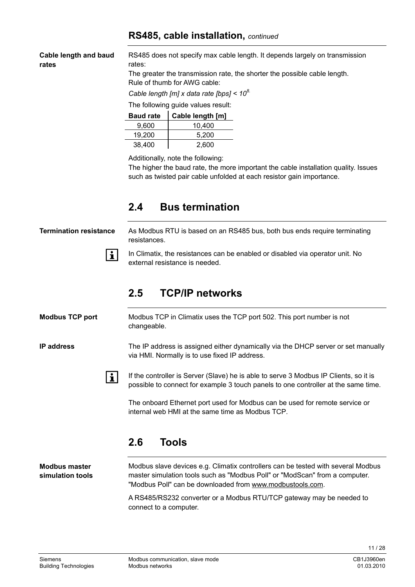### **RS485, cable installation,** *continued*

**Cable length and baud rates** 

RS485 does not specify max cable length. It depends largely on transmission rates:

The greater the transmission rate, the shorter the possible cable length. Rule of thumb for AWG cable:

*Cable length [m] x data rate [bps] < 108.* 

The following guide values result:

| <b>Baud rate</b> | Cable length [m] |
|------------------|------------------|
| 9,600            | 10.400           |
| 19,200           | 5,200            |
| 38,400           | 2,600            |

Additionally, note the following:

The higher the baud rate, the more important the cable installation quality. Issues such as twisted pair cable unfolded at each resistor gain importance.

# **2.4 Bus termination**

#### **Termination resistance**

As Modbus RTU is based on an RS485 bus, both bus ends require terminating resistances.



In Climatix, the resistances can be enabled or disabled via operator unit. No external resistance is needed.

Modbus TCP in Climatix uses the TCP port 502. This port number is not

# **2.5 TCP/IP networks**

**Modbus TCP port** 

**IP address** 

The IP address is assigned either dynamically via the DHCP server or set manually via HMI. Normally is to use fixed IP address.



If the controller is Server (Slave) he is able to serve 3 Modbus IP Clients, so it is possible to connect for example 3 touch panels to one controller at the same time.

The onboard Ethernet port used for Modbus can be used for remote service or internal web HMI at the same time as Modbus TCP.

### **2.6 Tools**

changeable.

**Modbus master simulation tools** 

Modbus slave devices e.g. Climatix controllers can be tested with several Modbus master simulation tools such as "Modbus Poll" or "ModScan" from a computer. "Modbus Poll" can be downloaded from www.modbustools.com.

A RS485/RS232 converter or a Modbus RTU/TCP gateway may be needed to connect to a computer.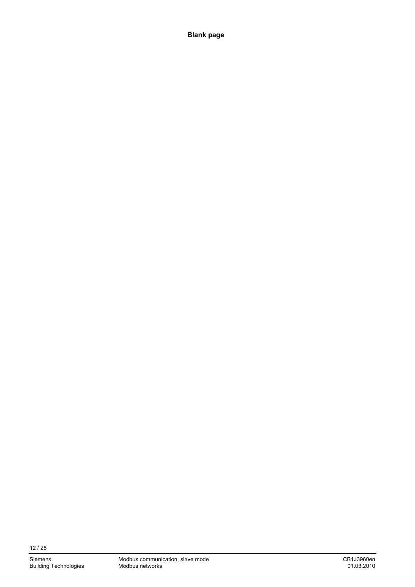**Blank page**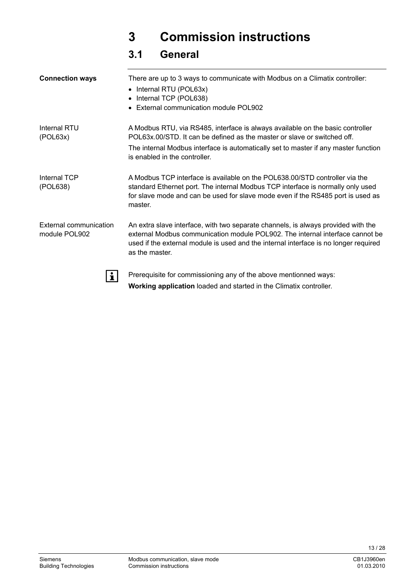#### **3 Commission instructions 3.1 General**  There are up to 3 ways to communicate with Modbus on a Climatix controller: **Connection ways**  • Internal RTU (POL63x) • Internal TCP (POL638) External communication module POL902 Internal RTU A Modbus RTU, via RS485, interface is always available on the basic controller (POL63x) POL63x.00/STD. It can be defined as the master or slave or switched off. The internal Modbus interface is automatically set to master if any master function is enabled in the controller. A Modbus TCP interface is available on the POL638.00/STD controller via the Internal TCP (POL638) standard Ethernet port. The internal Modbus TCP interface is normally only used for slave mode and can be used for slave mode even if the RS485 port is used as master. External communication An extra slave interface, with two separate channels, is always provided with the module POL902 external Modbus communication module POL902. The internal interface cannot be used if the external module is used and the internal interface is no longer required as the master.  $|11|$ Prerequisite for commissioning any of the above mentionned ways:

**Working application** loaded and started in the Climatix controller.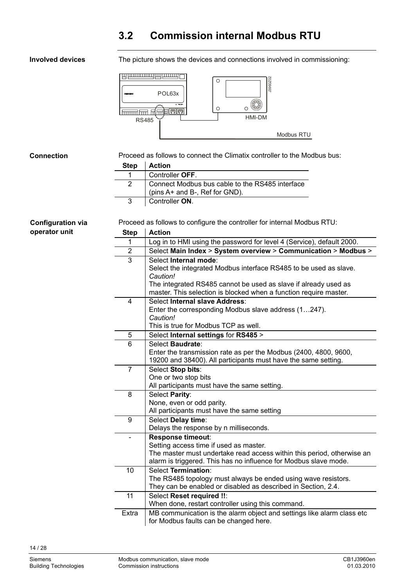# **3.2 Commission internal Modbus RTU**

#### **Involved devices**

The picture shows the devices and connections involved in commissioning:



#### **Connection**

Proceed as follows to connect the Climatix controller to the Modbus bus:

| <b>Step</b> | ∣ Action                                        |
|-------------|-------------------------------------------------|
|             | Controller <b>OFF</b> .                         |
|             | Connect Modbus bus cable to the RS485 interface |
|             | (pins A+ and B-, Ref for GND).                  |
| 3           | Controller ON.                                  |

| <b>Configuration via</b> |  |
|--------------------------|--|
| operator unit            |  |

Proceed as follows to configure the controller for internal Modbus RTU:

| <b>Step</b>    | <b>Action</b>                                                                                                                                                                                                                                  |  |  |
|----------------|------------------------------------------------------------------------------------------------------------------------------------------------------------------------------------------------------------------------------------------------|--|--|
| 1              | Log in to HMI using the password for level 4 (Service), default 2000.                                                                                                                                                                          |  |  |
| $\overline{2}$ | Select Main Index > System overview > Communication > Modbus >                                                                                                                                                                                 |  |  |
| 3              | Select Internal mode:<br>Select the integrated Modbus interface RS485 to be used as slave.<br>Caution!<br>The integrated RS485 cannot be used as slave if already used as<br>master. This selection is blocked when a function require master. |  |  |
| 4              | Select Internal slave Address:<br>Enter the corresponding Modbus slave address (1247).<br>Caution!<br>This is true for Modbus TCP as well.                                                                                                     |  |  |
| 5              | Select Internal settings for RS485 >                                                                                                                                                                                                           |  |  |
| 6              | Select Baudrate:<br>Enter the transmission rate as per the Modbus (2400, 4800, 9600,<br>19200 and 38400). All participants must have the same setting.                                                                                         |  |  |
| $\overline{7}$ | Select Stop bits:<br>One or two stop bits<br>All participants must have the same setting.                                                                                                                                                      |  |  |
| 8              | Select Parity:<br>None, even or odd parity.<br>All participants must have the same setting                                                                                                                                                     |  |  |
| 9              | Select Delay time:<br>Delays the response by n milliseconds.                                                                                                                                                                                   |  |  |
|                | Response timeout:<br>Setting access time if used as master.<br>The master must undertake read access within this period, otherwise an<br>alarm is triggered. This has no influence for Modbus slave mode.                                      |  |  |
| 10             | Select Termination:<br>The RS485 topology must always be ended using wave resistors.<br>They can be enabled or disabled as described in Section, 2.4.                                                                                          |  |  |
| 11             | Select Reset required !!:<br>When done, restart controller using this command.                                                                                                                                                                 |  |  |
| Extra          | MB communication is the alarm object and settings like alarm class etc<br>for Modbus faults can be changed here.                                                                                                                               |  |  |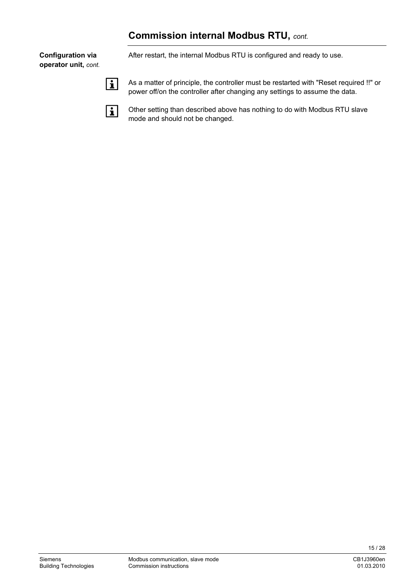# **Commission internal Modbus RTU,** *cont.*

#### **Configuration via operator unit,** *cont.*

After restart, the internal Modbus RTU is configured and ready to use.



As a matter of principle, the controller must be restarted with "Reset required !!" or power off/on the controller after changing any settings to assume the data.



Other setting than described above has nothing to do with Modbus RTU slave mode and should not be changed.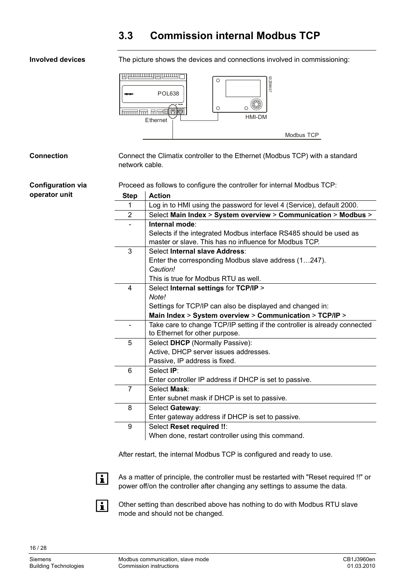# **3.3 Commission internal Modbus TCP**

#### **Involved devices**

The picture shows the devices and connections involved in commissioning:



**Connection** 

Connect the Climatix controller to the Ethernet (Modbus TCP) with a standard network cable.

**Configuration via operator unit** 

Proceed as follows to configure the controller for internal Modbus TCP: **Step Action**

| Step           | <b>Action</b>                                                             |
|----------------|---------------------------------------------------------------------------|
| 1              | Log in to HMI using the password for level 4 (Service), default 2000.     |
| $\overline{2}$ | Select Main Index > System overview > Communication > Modbus >            |
|                | Internal mode:                                                            |
|                | Selects if the integrated Modbus interface RS485 should be used as        |
|                | master or slave. This has no influence for Modbus TCP.                    |
| 3              | Select Internal slave Address:                                            |
|                | Enter the corresponding Modbus slave address (1247).                      |
|                | Caution!                                                                  |
|                | This is true for Modbus RTU as well.                                      |
| 4              | Select Internal settings for TCP/IP >                                     |
|                | Note!                                                                     |
|                | Settings for TCP/IP can also be displayed and changed in:                 |
|                | Main Index > System overview > Communication > TCP/IP >                   |
|                | Take care to change TCP/IP setting if the controller is already connected |
|                | to Ethernet for other purpose.                                            |
| 5              | Select DHCP (Normally Passive):                                           |
|                | Active, DHCP server issues addresses.                                     |
|                | Passive, IP address is fixed.                                             |
| 6              | Select <b>IP</b> :                                                        |
|                | Enter controller IP address if DHCP is set to passive.                    |
| $\overline{7}$ | Select Mask:                                                              |
|                | Enter subnet mask if DHCP is set to passive.                              |
| 8              | Select Gateway:                                                           |
|                | Enter gateway address if DHCP is set to passive.                          |
| 9              | Select Reset required !!:                                                 |
|                | When done, restart controller using this command.                         |

After restart, the internal Modbus TCP is configured and ready to use.

 $|1|$ 

As a matter of principle, the controller must be restarted with "Reset required !!" or power off/on the controller after changing any settings to assume the data.

 $\boxed{1}$ 

Other setting than described above has nothing to do with Modbus RTU slave mode and should not be changed.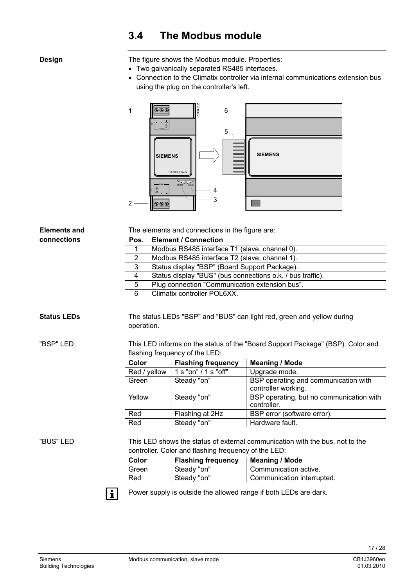# **3.4 The Modbus module**

#### **Design**

The figure shows the Modbus module. Properties:

- Two galvanically separated RS485 interfaces.
- Connection to the Climatix controller via internal communications extension bus using the plug on the controller's left.



| Pos.<br>$\mathbf 1$<br>$\overline{2}$<br>3<br>4<br>5<br>6<br>The status LEDs "BSP" and "BUS" can light red, green and yellow during | <b>Element / Connection</b><br>Modbus RS485 interface T1 (slave, channel 0).<br>Modbus RS485 interface T2 (slave, channel 1).<br>Status display "BSP" (Board Support Package).<br>Plug connection "Communication extension bus".<br>Climatix controller POL6XX. | Status display "BUS" (bus connections o.k. / bus traffic).                     |
|-------------------------------------------------------------------------------------------------------------------------------------|-----------------------------------------------------------------------------------------------------------------------------------------------------------------------------------------------------------------------------------------------------------------|--------------------------------------------------------------------------------|
|                                                                                                                                     |                                                                                                                                                                                                                                                                 |                                                                                |
|                                                                                                                                     |                                                                                                                                                                                                                                                                 |                                                                                |
|                                                                                                                                     |                                                                                                                                                                                                                                                                 |                                                                                |
|                                                                                                                                     |                                                                                                                                                                                                                                                                 |                                                                                |
|                                                                                                                                     |                                                                                                                                                                                                                                                                 |                                                                                |
|                                                                                                                                     |                                                                                                                                                                                                                                                                 |                                                                                |
|                                                                                                                                     |                                                                                                                                                                                                                                                                 |                                                                                |
| operation.                                                                                                                          |                                                                                                                                                                                                                                                                 | This LED informs on the status of the "Board Support Package" (BSP). Color and |
|                                                                                                                                     |                                                                                                                                                                                                                                                                 |                                                                                |
| Color                                                                                                                               | <b>Flashing frequency</b>                                                                                                                                                                                                                                       | <b>Meaning / Mode</b>                                                          |
| Red / yellow                                                                                                                        | 1 s "on" / 1 s "off"                                                                                                                                                                                                                                            | Upgrade mode.                                                                  |
| Green                                                                                                                               | Steady "on"                                                                                                                                                                                                                                                     | BSP operating and communication with<br>controller working.                    |
| Yellow                                                                                                                              | Steady "on"                                                                                                                                                                                                                                                     | BSP operating, but no communication with<br>controller.                        |
| Red                                                                                                                                 | Flashing at 2Hz                                                                                                                                                                                                                                                 | BSP error (software error).                                                    |
| Red                                                                                                                                 | Steady "on"                                                                                                                                                                                                                                                     | Hardware fault.                                                                |
|                                                                                                                                     |                                                                                                                                                                                                                                                                 | flashing frequency of the LED:                                                 |

controller. Color and flashing frequency of the LED:

| Color | <b>Flashing frequency</b> | Meaning / Mode             |
|-------|---------------------------|----------------------------|
| Green | Steady "on"               | Communication active.      |
| Red   | Steady "on"               | Communication interrupted. |



Power supply is outside the allowed range if both LEDs are dark.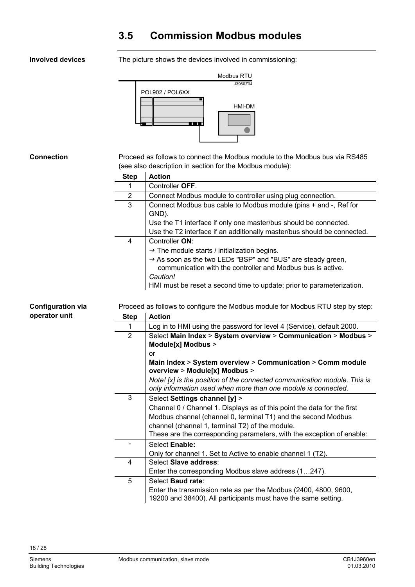# **3.5 Commission Modbus modules**

#### **Involved devices**

The picture shows the devices involved in commissioning:



#### **Connection**

Proceed as follows to connect the Modbus module to the Modbus bus via RS485 (see also description in section for the Modbus module):

| <b>Step</b>    | <b>Action</b>                                                                                                                          |
|----------------|----------------------------------------------------------------------------------------------------------------------------------------|
| 1              | Controller <b>OFF</b> .                                                                                                                |
| $\overline{2}$ | Connect Modbus module to controller using plug connection.                                                                             |
| 3              | Connect Modbus bus cable to Modbus module (pins + and -, Ref for<br>GND).                                                              |
|                | Use the T1 interface if only one master/bus should be connected.                                                                       |
|                | Use the T2 interface if an additionally master/bus should be connected.                                                                |
| 4              | Controller ON:                                                                                                                         |
|                | $\rightarrow$ The module starts / initialization begins.                                                                               |
|                | $\rightarrow$ As soon as the two LEDs "BSP" and "BUS" are steady green,<br>communication with the controller and Modbus bus is active. |
|                | Caution!                                                                                                                               |
|                | HMI must be reset a second time to update; prior to parameterization.                                                                  |

| <b>Configuration via</b> |             | Proceed as follows to configure the Modbus module for Modbus RTU step by step:                                                                                                                                                                                                                        |  |  |
|--------------------------|-------------|-------------------------------------------------------------------------------------------------------------------------------------------------------------------------------------------------------------------------------------------------------------------------------------------------------|--|--|
| operator unit            | <b>Step</b> | <b>Action</b>                                                                                                                                                                                                                                                                                         |  |  |
|                          |             | Log in to HMI using the password for level 4 (Service), default 2000.                                                                                                                                                                                                                                 |  |  |
|                          | 2           | Select Main Index > System overview > Communication > Modbus ><br>Module[x] Modbus >                                                                                                                                                                                                                  |  |  |
|                          |             | or                                                                                                                                                                                                                                                                                                    |  |  |
|                          |             | Main Index > System overview > Communication > Comm module<br>overview > Module[x] Modbus >                                                                                                                                                                                                           |  |  |
|                          |             | Note! [x] is the position of the connected communication module. This is<br>only information used when more than one module is connected.                                                                                                                                                             |  |  |
|                          | 3           | Select Settings channel [y] ><br>Channel 0 / Channel 1. Displays as of this point the data for the first<br>Modbus channel (channel 0, terminal T1) and the second Modbus<br>channel (channel 1, terminal T2) of the module.<br>These are the corresponding parameters, with the exception of enable: |  |  |
|                          |             | Select Enable:<br>Only for channel 1. Set to Active to enable channel 1 (T2).                                                                                                                                                                                                                         |  |  |
|                          | 4           | Select Slave address:                                                                                                                                                                                                                                                                                 |  |  |
|                          |             | Enter the corresponding Modbus slave address (1247).                                                                                                                                                                                                                                                  |  |  |
|                          | 5           | Select Baud rate:<br>Enter the transmission rate as per the Modbus (2400, 4800, 9600,<br>19200 and 38400). All participants must have the same setting.                                                                                                                                               |  |  |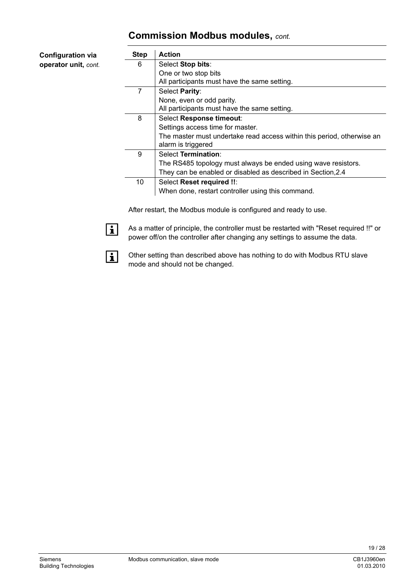# **Commission Modbus modules,** *cont.*

**Configuration via operator unit,** *cont.*

| <b>Step</b> | <b>Action</b>                                                          |
|-------------|------------------------------------------------------------------------|
| 6           | Select Stop bits:                                                      |
|             | One or two stop bits                                                   |
|             | All participants must have the same setting.                           |
| 7           | Select Parity:                                                         |
|             | None, even or odd parity.                                              |
|             | All participants must have the same setting.                           |
| 8           | Select Response timeout:                                               |
|             | Settings access time for master.                                       |
|             | The master must undertake read access within this period, otherwise an |
|             | alarm is triggered                                                     |
| 9           | Select Termination:                                                    |
|             | The RS485 topology must always be ended using wave resistors.          |
|             | They can be enabled or disabled as described in Section, 2.4           |
| 10          | Select Reset required !!:                                              |
|             | When done, restart controller using this command.                      |

After restart, the Modbus module is configured and ready to use.



As a matter of principle, the controller must be restarted with "Reset required !!" or power off/on the controller after changing any settings to assume the data.

 $\boxed{1}$ 

Other setting than described above has nothing to do with Modbus RTU slave mode and should not be changed.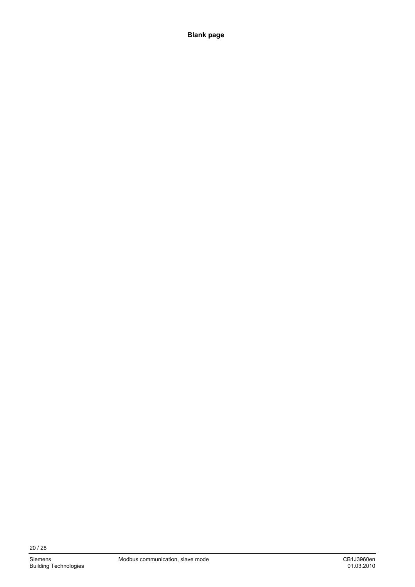**Blank page**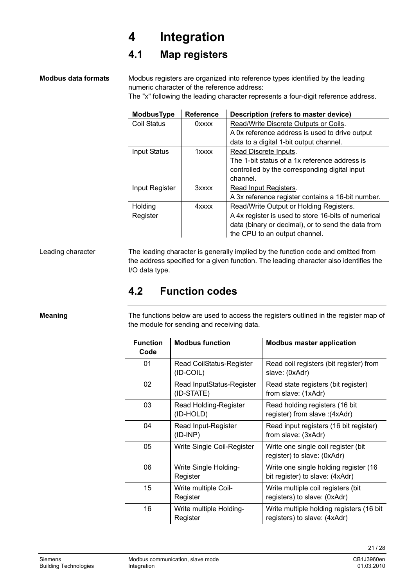# **4 Integration**

# **4.1 Map registers**

#### Modbus registers are organized into reference types identified by the leading numeric character of the reference address: **Modbus data formats**

The "x" following the leading character represents a four-digit reference address.

| <b>ModbusType</b>   | <b>Reference</b> | Description (refers to master device)               |  |
|---------------------|------------------|-----------------------------------------------------|--|
| <b>Coil Status</b>  | 0xxxx            | Read/Write Discrete Outputs or Coils.               |  |
|                     |                  | A 0x reference address is used to drive output      |  |
|                     |                  | data to a digital 1-bit output channel.             |  |
| <b>Input Status</b> | 1xxxx            | Read Discrete Inputs.                               |  |
|                     |                  | The 1-bit status of a 1x reference address is       |  |
|                     |                  | controlled by the corresponding digital input       |  |
|                     |                  | channel.                                            |  |
| Input Register      | 3xxxx            | Read Input Registers.                               |  |
|                     |                  | A 3x reference register contains a 16-bit number.   |  |
| Holding             | 4xxxx            | Read/Write Output or Holding Registers.             |  |
| Register            |                  | A 4x register is used to store 16-bits of numerical |  |
|                     |                  | data (binary or decimal), or to send the data from  |  |
|                     |                  | the CPU to an output channel.                       |  |

The leading character is generally implied by the function code and omitted from the address specified for a given function. The leading character also identifies the I/O data type. Leading character

# **4.2 Function codes**

#### **Meaning**

The functions below are used to access the registers outlined in the register map of the module for sending and receiving data.

| <b>Function</b><br>Code | <b>Modbus function</b>                       | <b>Modbus master application</b>                                         |  |
|-------------------------|----------------------------------------------|--------------------------------------------------------------------------|--|
| 01                      | <b>Read CoilStatus-Register</b><br>(ID-COIL) | Read coil registers (bit register) from<br>slave: (0xAdr)                |  |
| 02                      | Read InputStatus-Register<br>(ID-STATE)      | Read state registers (bit register)<br>from slave: (1xAdr)               |  |
| 03                      | Read Holding-Register<br>(ID-HOLD)           | Read holding registers (16 bit<br>register) from slave : (4xAdr)         |  |
| 04                      | Read Input-Register<br>$(ID-IMP)$            | Read input registers (16 bit register)<br>from slave: (3xAdr)            |  |
| 05                      | Write Single Coil-Register                   | Write one single coil register (bit<br>register) to slave: (0xAdr)       |  |
| 06                      | Write Single Holding-<br>Register            | Write one single holding register (16<br>bit register) to slave: (4xAdr) |  |
| 15                      | Write multiple Coil-<br>Register             | Write multiple coil registers (bit<br>registers) to slave: (0xAdr)       |  |
| 16                      | Write multiple Holding-<br>Register          | Write multiple holding registers (16 bit<br>registers) to slave: (4xAdr) |  |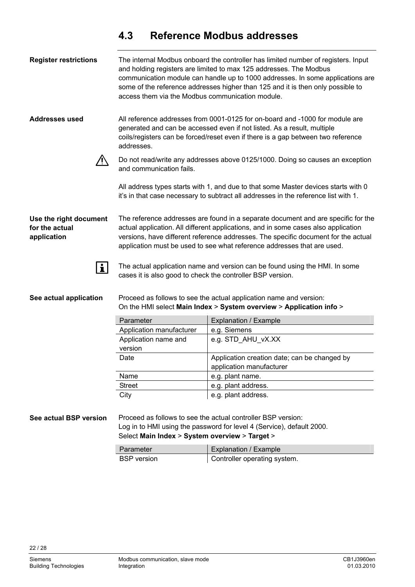# **4.3 Reference Modbus addresses**

| <b>Register restrictions</b>                            | The internal Modbus onboard the controller has limited number of registers. Input<br>and holding registers are limited to max 125 addresses. The Modbus<br>communication module can handle up to 1000 addresses. In some applications are<br>some of the reference addresses higher than 125 and it is then only possible to<br>access them via the Modbus communication module. |                                                                                                                                                                           |  |
|---------------------------------------------------------|----------------------------------------------------------------------------------------------------------------------------------------------------------------------------------------------------------------------------------------------------------------------------------------------------------------------------------------------------------------------------------|---------------------------------------------------------------------------------------------------------------------------------------------------------------------------|--|
| <b>Addresses used</b>                                   | All reference addresses from 0001-0125 for on-board and -1000 for module are<br>generated and can be accessed even if not listed. As a result, multiple<br>coils/registers can be forced/reset even if there is a gap between two reference<br>addresses.                                                                                                                        |                                                                                                                                                                           |  |
|                                                         | Do not read/write any addresses above 0125/1000. Doing so causes an exception<br>and communication fails.                                                                                                                                                                                                                                                                        |                                                                                                                                                                           |  |
|                                                         |                                                                                                                                                                                                                                                                                                                                                                                  | All address types starts with 1, and due to that some Master devices starts with 0<br>it's in that case necessary to subtract all addresses in the reference list with 1. |  |
| Use the right document<br>for the actual<br>application | The reference addresses are found in a separate document and are specific for the<br>actual application. All different applications, and in some cases also application<br>versions, have different reference addresses. The specific document for the actual<br>application must be used to see what reference addresses that are used.                                         |                                                                                                                                                                           |  |
| $\mathbf{i}$                                            | The actual application name and version can be found using the HMI. In some<br>cases it is also good to check the controller BSP version.                                                                                                                                                                                                                                        |                                                                                                                                                                           |  |
| See actual application                                  | Proceed as follows to see the actual application name and version:<br>On the HMI select Main Index > System overview > Application info >                                                                                                                                                                                                                                        |                                                                                                                                                                           |  |
|                                                         | Parameter                                                                                                                                                                                                                                                                                                                                                                        | Explanation / Example                                                                                                                                                     |  |
|                                                         | Application manufacturer                                                                                                                                                                                                                                                                                                                                                         | e.g. Siemens                                                                                                                                                              |  |
|                                                         | Application name and<br>version                                                                                                                                                                                                                                                                                                                                                  | e.g. STD_AHU_vX.XX                                                                                                                                                        |  |
|                                                         | Date                                                                                                                                                                                                                                                                                                                                                                             | Application creation date; can be changed by                                                                                                                              |  |
|                                                         |                                                                                                                                                                                                                                                                                                                                                                                  | application manufacturer                                                                                                                                                  |  |
|                                                         | Name                                                                                                                                                                                                                                                                                                                                                                             | e.g. plant name.                                                                                                                                                          |  |
|                                                         | <b>Street</b>                                                                                                                                                                                                                                                                                                                                                                    | e.g. plant address.                                                                                                                                                       |  |
|                                                         | City                                                                                                                                                                                                                                                                                                                                                                             | e.g. plant address.                                                                                                                                                       |  |
| See actual BSP version                                  | Proceed as follows to see the actual controller BSP version:<br>Log in to HMI using the password for level 4 (Service), default 2000.<br>Select Main Index > System overview > Target >                                                                                                                                                                                          |                                                                                                                                                                           |  |

| Parameter          | Explanation / Example        |
|--------------------|------------------------------|
| <b>BSP</b> version | Controller operating system. |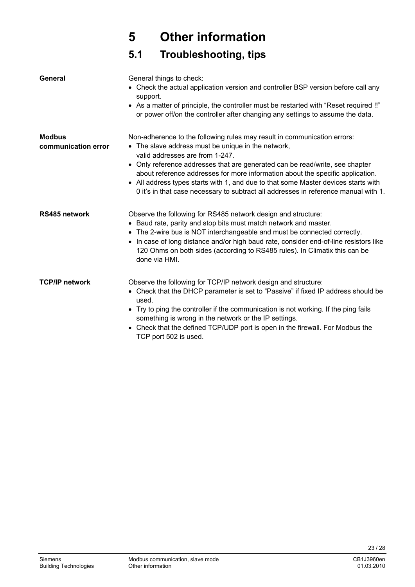**5 Other information 5.1 Troubleshooting, tips**  General things to check: Check the actual application version and controller BSP version before call any support. As a matter of principle, the controller must be restarted with "Reset required !!" or power off/on the controller after changing any settings to assume the data. Non-adherence to the following rules may result in communication errors: • The slave address must be unique in the network, valid addresses are from 1-247. Only reference addresses that are generated can be read/write, see chapter about reference addresses for more information about the specific application. All address types starts with 1, and due to that some Master devices starts with 0 it's in that case necessary to subtract all addresses in reference manual with 1. Observe the following for RS485 network design and structure: • Baud rate, parity and stop bits must match network and master. The 2-wire bus is NOT interchangeable and must be connected correctly. • In case of long distance and/or high baud rate, consider end-of-line resistors like 120 Ohms on both sides (according to RS485 rules). In Climatix this can be done via HMI. **General Modbus communication error RS485 network** 

**TCP/IP network** 

Observe the following for TCP/IP network design and structure:

- Check that the DHCP parameter is set to "Passive" if fixed IP address should be used.
- Try to ping the controller if the communication is not working. If the ping fails something is wrong in the network or the IP settings.
- Check that the defined TCP/UDP port is open in the firewall. For Modbus the TCP port 502 is used.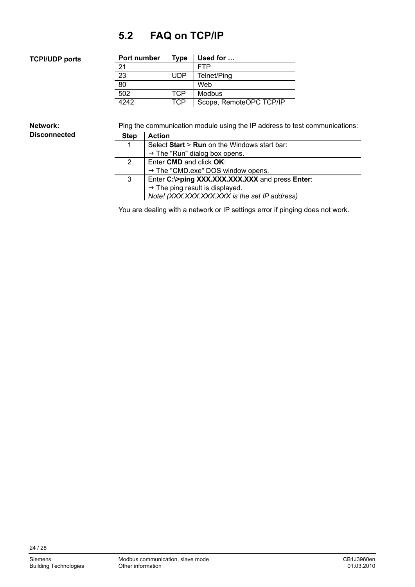# **5.2 FAQ on TCP/IP**

**TCPI/UDP ports** 

| Port number | <b>Type</b> | Used for                |
|-------------|-------------|-------------------------|
| 21          |             | <b>FTP</b>              |
| 23          | <b>UDP</b>  | Telnet/Ping             |
| 80          |             | Web                     |
| 502         | <b>TCP</b>  | Modbus                  |
| 4242        | <b>TCP</b>  | Scope, RemoteOPC TCP/IP |

**Network:** 

**Disconnected** 

Ping the communication module using the IP address to test communications:

| <b>Step</b>    | <b>Action</b>                                   |
|----------------|-------------------------------------------------|
| 1              | Select Start > Run on the Windows start bar:    |
|                | $\rightarrow$ The "Run" dialog box opens.       |
| $\overline{2}$ | Enter CMD and click OK:                         |
|                | $\rightarrow$ The "CMD.exe" DOS window opens.   |
| 3              | Enter C:\>ping XXX.XXX.XXX.XXX and press Enter: |
|                | $\rightarrow$ The ping result is displayed.     |
|                | Note! (XXX.XXX.XXX.XXX is the set IP address)   |

You are dealing with a network or IP settings error if pinging does not work.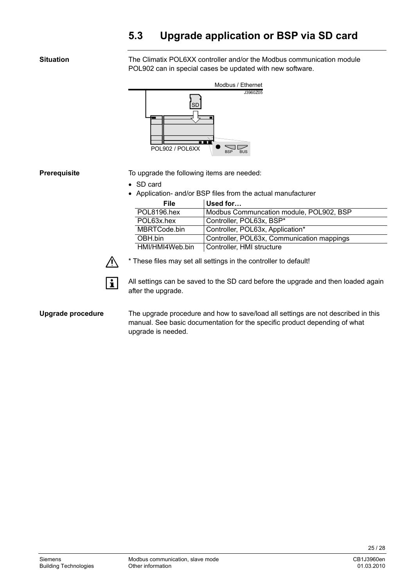# **5.3 Upgrade application or BSP via SD card**

#### **Situation**

The Climatix POL6XX controller and/or the Modbus communication module POL902 can in special cases be updated with new software.



**Prerequisite** 

To upgrade the following items are needed:

- SD card
- Application- and/or BSP files from the actual manufacturer

| File            | Used for                                   |
|-----------------|--------------------------------------------|
| POL8196.hex     | Modbus Communcation module, POL902, BSP    |
| POL63x.hex      | Controller, POL63x, BSP*                   |
| MBRTCode.bin    | Controller, POL63x, Application*           |
| OBH.bin         | Controller, POL63x, Communication mappings |
| HMI/HMI4Web.bin | Controller, HMI structure                  |

\* These files may set all settings in the controller to default!

 $\overline{\mathbf{i}}$ 

All settings can be saved to the SD card before the upgrade and then loaded again after the upgrade.

The upgrade procedure and how to save/load all settings are not described in this manual. See basic documentation for the specific product depending of what upgrade is needed. **Upgrade procedure**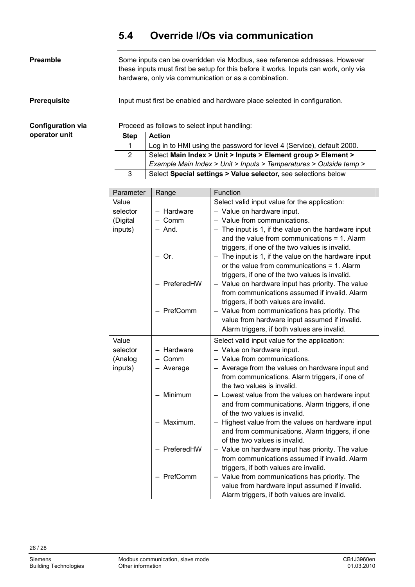# **5.4 Override I/Os via communication**

| Preamble                 |                |                                              | Some inputs can be overridden via Modbus, see reference addresses. However<br>these inputs must first be setup for this before it works. Inputs can work, only via<br>hardware, only via communication or as a combination. |
|--------------------------|----------------|----------------------------------------------|-----------------------------------------------------------------------------------------------------------------------------------------------------------------------------------------------------------------------------|
| Prerequisite             |                |                                              | Input must first be enabled and hardware place selected in configuration.                                                                                                                                                   |
| <b>Configuration via</b> |                | Proceed as follows to select input handling: |                                                                                                                                                                                                                             |
| operator unit            | <b>Step</b>    | <b>Action</b>                                |                                                                                                                                                                                                                             |
|                          | $\mathbf{1}$   |                                              | Log in to HMI using the password for level 4 (Service), default 2000.                                                                                                                                                       |
|                          | $\overline{2}$ |                                              | Select Main Index > Unit > Inputs > Element group > Element ><br>Example Main Index > Unit > Inputs > Temperatures > Outside temp >                                                                                         |
|                          | 3              |                                              | Select Special settings > Value selector, see selections below                                                                                                                                                              |
|                          | Parameter      | Range                                        | Function                                                                                                                                                                                                                    |
|                          | Value          |                                              | Select valid input value for the application:                                                                                                                                                                               |
|                          | selector       | - Hardware                                   | - Value on hardware input.                                                                                                                                                                                                  |
|                          | (Digital       | - Comm                                       | - Value from communications.                                                                                                                                                                                                |
|                          | inputs)        | - And.                                       | $-$ The input is 1, if the value on the hardware input                                                                                                                                                                      |
|                          |                |                                              | and the value from communications $= 1$ . Alarm                                                                                                                                                                             |
|                          |                |                                              | triggers, if one of the two values is invalid.                                                                                                                                                                              |
|                          |                | $-$ Or.                                      | - The input is 1, if the value on the hardware input                                                                                                                                                                        |
|                          |                |                                              | or the value from communications $= 1$ . Alarm                                                                                                                                                                              |
|                          |                |                                              | triggers, if one of the two values is invalid.                                                                                                                                                                              |
|                          |                | - PreferedHW                                 | - Value on hardware input has priority. The value                                                                                                                                                                           |
|                          |                |                                              | from communications assumed if invalid. Alarm                                                                                                                                                                               |
|                          |                |                                              | triggers, if both values are invalid.                                                                                                                                                                                       |
|                          |                | - PrefComm                                   | - Value from communications has priority. The                                                                                                                                                                               |
|                          |                |                                              | value from hardware input assumed if invalid.                                                                                                                                                                               |
|                          |                |                                              | Alarm triggers, if both values are invalid.                                                                                                                                                                                 |
|                          | Value          |                                              | Select valid input value for the application:                                                                                                                                                                               |
|                          | selector       | - Hardware                                   | - Value on hardware input.                                                                                                                                                                                                  |
|                          | (Analog        | - Comm                                       | - Value from communications.                                                                                                                                                                                                |
|                          | inputs)        | - Average                                    | - Average from the values on hardware input and                                                                                                                                                                             |
|                          |                |                                              | from communications. Alarm triggers, if one of                                                                                                                                                                              |
|                          |                |                                              | the two values is invalid.                                                                                                                                                                                                  |
|                          |                | Minimum                                      | - Lowest value from the values on hardware input                                                                                                                                                                            |
|                          |                |                                              | and from communications. Alarm triggers, if one<br>of the two values is invalid.                                                                                                                                            |
|                          |                | Maximum.                                     | - Highest value from the values on hardware input                                                                                                                                                                           |
|                          |                |                                              | and from communications. Alarm triggers, if one                                                                                                                                                                             |
|                          |                |                                              | of the two values is invalid.                                                                                                                                                                                               |
|                          |                | - PreferedHW                                 | - Value on hardware input has priority. The value                                                                                                                                                                           |
|                          |                |                                              | from communications assumed if invalid. Alarm                                                                                                                                                                               |
|                          |                |                                              | triggers, if both values are invalid.                                                                                                                                                                                       |
|                          |                | PrefComm                                     | - Value from communications has priority. The                                                                                                                                                                               |
|                          |                |                                              | value from hardware input assumed if invalid.                                                                                                                                                                               |
|                          |                |                                              | Alarm triggers, if both values are invalid.                                                                                                                                                                                 |
|                          |                |                                              |                                                                                                                                                                                                                             |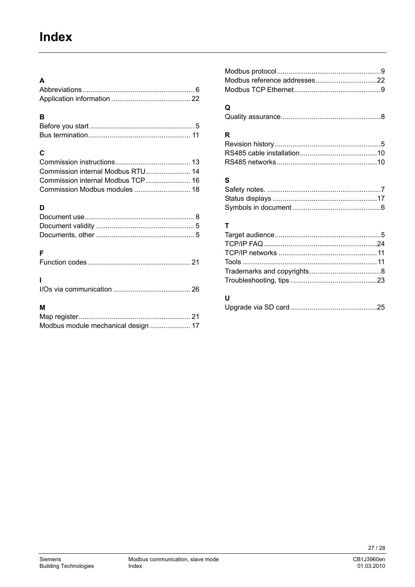# **Index**

### **A**

### **B**

### **C**

| Commission internal Modbus RTU 14 |  |
|-----------------------------------|--|
|                                   |  |
|                                   |  |

# **D**

# **F**

| п. |  |
|----|--|

### **M**

# **Q**

# **R**

## **S**

### **T**

### **U**

|--|